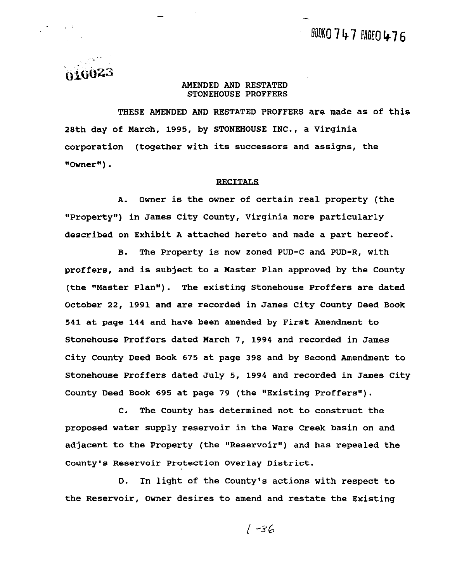. . *ox~O'E3* 

#### **AMENDED AND RESTATED STONEHOUSE PROFFERS**

**THESE AMENDED AND RESTATED PROFFERS are made as of this 28th day of March, 1995, by STONEHOUSE INC., a Virginia corporation (together with its successors and assigns, the gqOwner80)** .

#### **RECITALS**

**A. Owner is the owner of certain real property (the "Property")** in James City County, Virginia more particularly **described on Exhibit A attached hereto and made a part hereof.** 

**B. The Property is now zoned PUD-C and PUD-R, with proffers, and is subject to a Master Plan approved by the County (the "Master Planw). The existing Stonehouse Proffers are dated October 22, 1991 and are recorded in James City County Deed Book 541 at page 144 and have been amended by First Amendment to Stonehouse Proffers dated March 7, 1994 and recorded in James City County Deed Book 675 at page 398 and by Second Amendment to Stonehouse Proffers dated July 5, 1994 and recorded in James City County Deed Book 695 at page 79 (the "Existing Proffers").** 

**C. The County has determined not to construct the proposed water supply reservoir in the Ware Creek basin on and**  adjacent to the Property (the "Reservoir") and has repealed the **county's Reservoir Protection Overlay District.** 

**D. In light of the County's actions with respect to the Reservoir, Owner desires to amend and restate the Existing**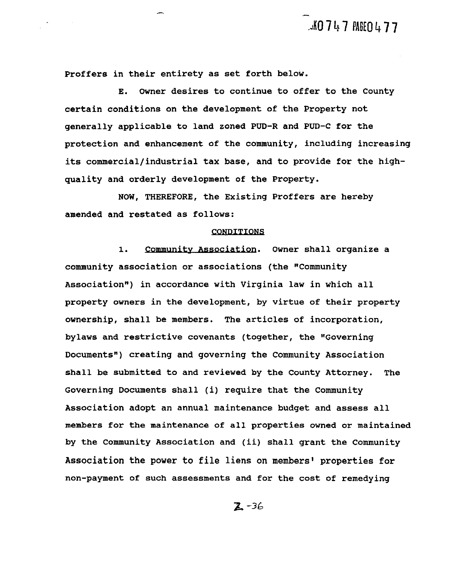$J$ 10747  $M$ 60477

**Proffers in their entirety as set forth below.** 

**E. Owner desires to continue to offer to the County certain conditions on the development of the Property not generally applicable to land zoned PUD-R and PUD-C for the protection and enhancement of the community, including increasing its commercial/industrial tax base, and to provide for the highquality and orderly development of the Property.**  n their entirety as set forth below.<br>E. Owner desires to continue to offer to the County<br>nditions on the development of the Property not<br>applicable to land zoned PUD-R and PUD-C for the<br>and enhancement of the community, in

**NOW, THEREFORE, the Existing Proffers are hereby amended and restated as follows:** 

#### CONDITIONS

**community association or associations (the Vommunity**  Association") in accordance with Virginia law in which all **property owners in the development, by virtue of their property ownership, shall be members. The articles of incorporation, bylaws and restrictive covenants (together, the "Governing Documentsn) creating and governing the Community Association shall be submitted to and reviewed by the County Attorney. The Governing Documents shall (i) require that the Community Association adopt an annual maintenance budget and assess all members for the maintenance of all properties owned or maintained by the Community Association and (ii) shall grant the Community Association the power to file liens on members' properties for non-payment of such assessments and for the cost of remedying**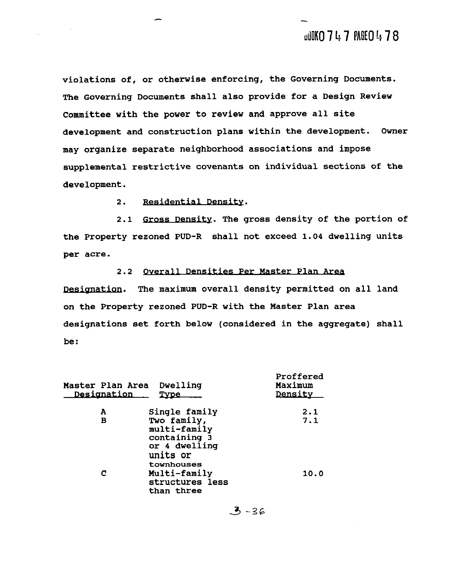**violations of, or otherwise enforcing, the Governing Documents. The Governing Documents shall also provide for a Design Review Committee with the power to review and approve all site development and construction plans within the development. Owner may organize separate neighborhood associations and impose supplemental restrictive covenants on individual sections of the development. 2.2** overall bension of the same of the system of the system of the same position of the power to revise and approve all attention of the power to revise and approve all attention and the tend construction plane within t

**2.** 

**2.1 GrossDensitv. The gross density of the portion of the Property rezoned PUD-R shall not exceed 1.04 dwelling units per acre.** 

2.2 <u>Overall Densities Per Master Plan Area</u><br>Designation. The maximum overall density permitted on all land **on the Property rezoned PUD-R with the Master Plan area designations set forth below (considered in the aggregate) shall be** :

| Master Plan Area<br><b>Designation</b> | Dwelling<br>Type                                                                       | Proffered<br>Maximum<br>Density |
|----------------------------------------|----------------------------------------------------------------------------------------|---------------------------------|
| A                                      | Single family                                                                          | 2.1                             |
| в                                      | Two family,<br>multi-family<br>containing 3<br>or 4 dwelling<br>units or<br>townhouses | 7.1                             |
|                                        | Multi-family<br>structures less<br>than three                                          | 10.0                            |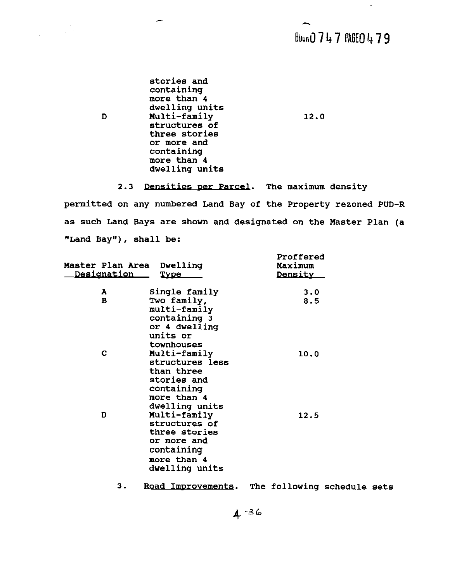### Blun0747 PAGE0479

 $\Delta$ 

**stories and containing more than 4 dwelling units D Multi-family**  12.0 **structures of three stories or more and containing more than 4 dwelling units** 

 $\label{eq:2} \begin{split} \mathcal{L}_{\text{max}}(\mathcal{L}_{\text{max}}) = \mathcal{L}_{\text{max}}(\mathcal{L}_{\text{max}}) \end{split}$ 

2.3 Densities per Parcel. The maximum density

**permitted on any numbered Land Bay of the Property rezoned PUD-R as such Land Bays are shown and designated on the Master Plan (a "Land Bay"), shall be:** 

| <b>Master Plan Area</b><br><u>Designation –</u> | Dwelling<br><u>Type</u>                                                                                      | Proffered<br>Maximum<br><b>Density</b> |
|-------------------------------------------------|--------------------------------------------------------------------------------------------------------------|----------------------------------------|
| A                                               | Single family                                                                                                | 3.0                                    |
| в                                               | Two family,<br>multi-family<br>containing 3<br>or 4 dwelling<br>units or<br>townhouses                       | 8.5                                    |
| C                                               | Multi-family<br>structures less<br>than three<br>stories and<br>containing<br>more than 4<br>dwelling units  | 10.0                                   |
| D                                               | Multi-family<br>structures of<br>three stories<br>or more and<br>containing<br>more than 4<br>dwelling units | 12.5                                   |

3. Road Improvements. The following schedule sets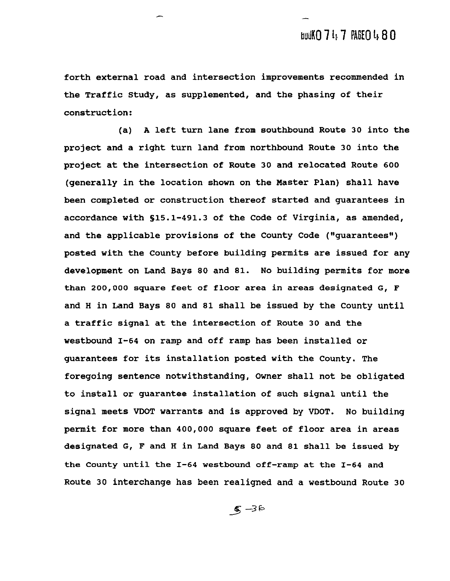**forth external road and intersection improvements recommended in the Traffic Study, as supplemented, and the phasing of their construction:** 

**(a) A left turn lane from southbound Route 30 into the project and a right turn land from northbound Route 30 into the project at the intersection of Route 30 and relocated Route 600 (generally in the location shown on the Master Plan) shall have been completed or construction thereof started and guarantees in accordance with S15.1-491.3 of the Code of Virginia, as amended,**  and the applicable provisions of the County Code ("quarantees") **posted with the County before building permits are issued for any development on Land Bays 80 and 81. No building permits for more than 200,000 square feet of floor area in areas designated G, F and H in Land Bays 80 and 81 shall be issued by the County until a traffic signal at the intersection of Route 30 and the westbound 1-64 on ramp and off ramp has been installed or guarantees for its installation posted with the County. The foregoing sentence notwithstanding, Owner shall not be obligated to install or guarantee installation of such signal until the signal meets MOT warrants and is approved by VDOT. No building permit for more than 400,000 square feet of floor area in areas designated G, F and H in Land Bays 80 and 81 shall be issued by the County until the 1-64 westbound off-ramp at the 1-64 and Route 30 interchange has been realigned and a westbound Route 30**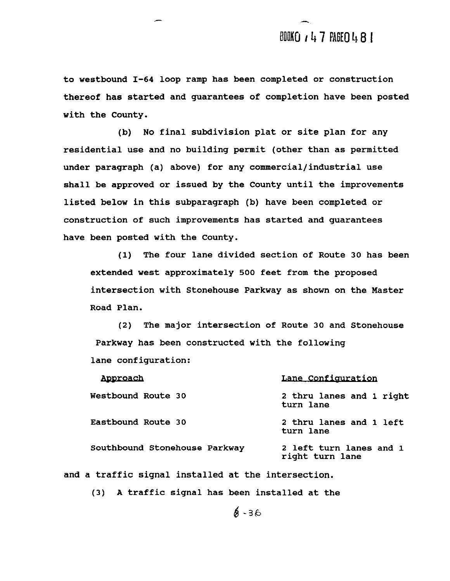**to westbound 1-64 loop ramp has been completed or construction thereof has started and guarantees of completion have been posted with the County.** 

**(b) No final subdivision plat or site plan for any residential use and no building permit (other than as permitted under paragraph (a) above) for any commercial/industrial use shall be approved or issued by the County until the improvements listed below in this subparagraph (b) have been completed or construction of such improvements has started and guarantees have been posted with the County.** 

**(1) The four lane divided section of Route 30 has been extended west approximately 500 feet from the proposed intersection with Stonehouse Parkway as shown on the Master Road Plan.** 

**(2) The major intersection of Route 30 and Stonehouse Parkway has been constructed with the following lane configuration:** 

| Westbound Route 30<br>turn lane<br>Eastbound Route 30 |                                            |
|-------------------------------------------------------|--------------------------------------------|
|                                                       | 2 thru lanes and 1 right                   |
| turn lane                                             | 2 thru lanes and 1 left                    |
| Southbound Stonehouse Parkway                         | 2 left turn lanes and 1<br>right turn lane |

**and a traffic signal installed at the intersection.** 

**(3) A traffic signal has been installed at the**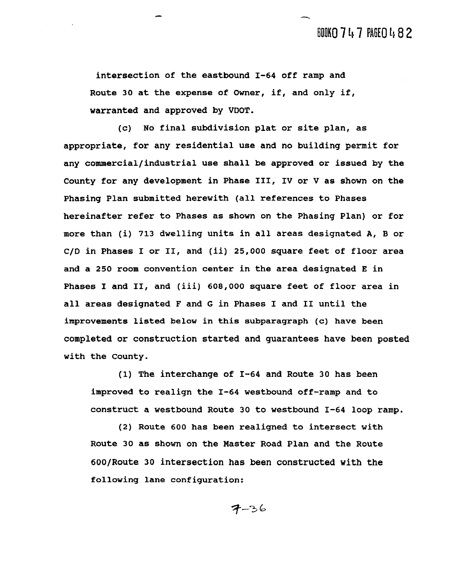**intersection of the eastbound 1-64 off ramp and Route 30 at the expense of Owner, if, and only if, warranted and approved by VDOT.** 

**(c) No final subdivision plat or site plan, as appropriate, for any residential use and no building permit for any commercial/industrial use shall be approved or issued by the County for any development in Phase** 111, IV **or** V **as shown on the Phasing Plan submitted herewith (all references to Phases hereinafter refer to Phases as shown on the Phasing Plan) or for more than (i) 713 dwelling units in all areas designated A, B or C/D in Phases I or 11, and (ii) 25,000 square feet of floor area and a 250 room convention center in the area designated E in Phases I and 11, and (iii) 608,000 square feet of floor area in all areas designated F and G in Phases I and I1 until the improvements listed below in this subparagraph (c) have been completed or construction started and guarantees have been posted with the County.** 

**(1) The interchange of 1-64 and Route 30 has been improved to realign the 1-64 westbound off-ramp and to construct a westbound Route 30 to westbound 1-64 loop ramp.** 

**(2) Route 600 has been realigned to intersect with Route 30 as shown on the Master Road Plan and the Route COO/Route 30 intersection has been constructed with the following lane configuration:**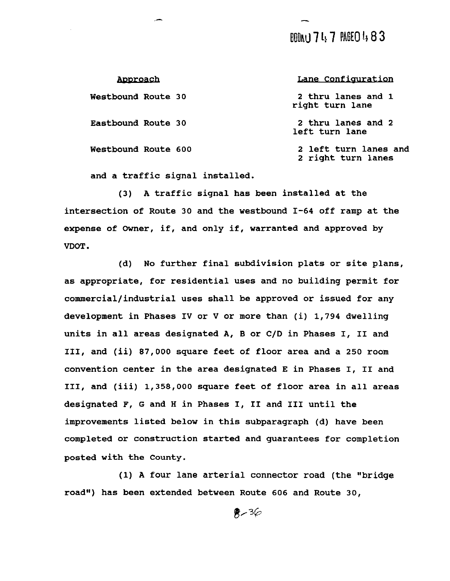### BOONU 7 4 7 PAGEO 4 8 3

| <u>Approach</u>            | Lane Configuration                          |
|----------------------------|---------------------------------------------|
| Westbound Route 30         | 2 thru lanes and 1<br>right turn lane       |
| Eastbound Route 30         | 2 thru lanes and 2<br>left turn lane        |
| Westbound Route 600        | 2 left turn lanes and<br>2 right turn lanes |
| a twaffia aianal inatallad |                                             |

**and a traffic signal installed.** 

**(3) A traffic signal has been installed at the intersection of Route 30 and the westbound 1-64 off ramp at the expense of Owner, if, and only if, warranted and approved by VDOT** .

**(d) No further final subdivision plats or site plans, as appropriate, for residential uses and no building permit for commercial/industrial uses shall be approved or issued for any development in Phases** IV **or** V **or more than (i) 1,794 dwelling units in all areas designated A, B or C/D in Phases I,** I1 **and 111, and (ii) 87,000 square feet of floor area and a 250 room convention center in the area designated E in Phases I, I1 and 111, and (iii) 1,358,000 square feet of floor area in all areas designated F, G and H in Phases** I, I1 **and I11 until the improvements listed below in this subparagraph (d) have been completed or construction started and guarantees for completion posted with the County.** 

**(1) A four lane arterial connector road (the "bridge road') has been extended between Route 606 and Route 30,**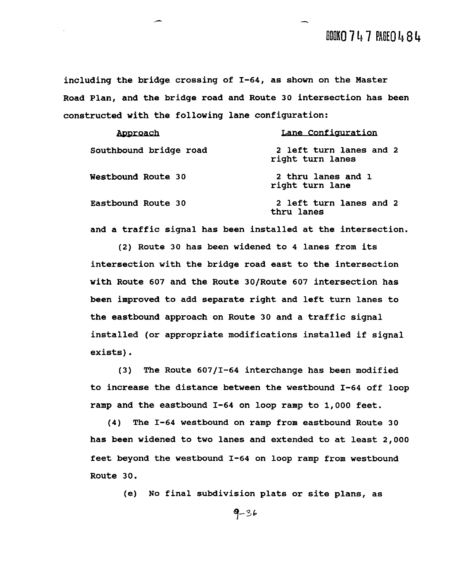**including the bridge crossing of 1-64, as shown on the Master Road Plan, and the bridge road and Route 30 intersection has been constructed with the following lane configuration:** 

| Approach               | Lane Configuration                          |
|------------------------|---------------------------------------------|
| Southbound bridge road | 2 left turn lanes and 2<br>right turn lanes |
| Westbound Route 30     | 2 thru lanes and 1<br>right turn lane       |
| Eastbound Route 30     | 2 left turn lanes and 2<br>thru lanes       |

**and a traffic signal has been installed at the intersection.** 

**(2) Route 30 has been widened to 4 lanes from its intersection with the bridge road east to the intersection**  with Route 607 and the Route 30/Route 607 intersection has **been improved to add separate right and left turn lanes to the eastbound approach on Route 30 and a traffic signal installed (or appropriate modifications installed if signal exists).** 

**(3) The Route 60711-64 interchange has been modified to increase the distance between the westbound 1-64 off loop ramp and the eastbound 1-64 on loop ramp to 1,000 feet.** 

**(4) The 1-64 westbound on ramp from eastbound Route 30 has been widened to two lanes and extended to at least 2,000 feet beyond the westbound 1-64 on loop ramp from westbound Route 30.** 

**(e) No final subdivision plats or site plans, as** 

$$
9-36
$$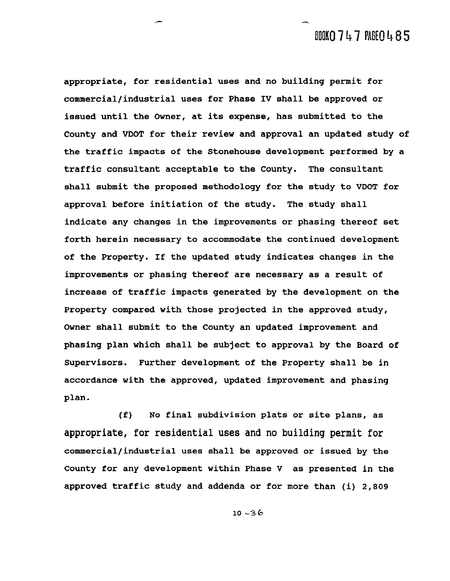**appropriate, for residential uses and no building permit for commercial/industrial uses for Phase IV shall be approved or issued until the Owner, at its expense, has submitted to the County and MOT for their review and approval an updated study of the traffic impacts of the Stonehouse development performed by a traffic consultant acceptable to the County. The consultant shall submit the proposed methodology for the study to VDOT for approval before initiation of the study. The study shall indicate any changes in the improvements or phasing thereof set forth herein necessary to accommodate the continued development of the Property. If the updated study indicates changes in the improvements or phasing thereof are necessary as a result of increase of traffic impacts generated by the development on the Property compared with those projected in the approved study, Owner shall submit to the County an updated improvement and phasing plan which shall be subject to approval by the Board of Supervisors. Further development of the Property shall be in accordance with the approved, updated improvement and phasing plan.** 

**(f) No final subdivision plats or site plans, as**  appropriate, for residential uses and no building permit **for commercial/industrial uses shall be approved or issued by the County for any development within Phase V as presented in the approved traffic study and addenda or for more than (i) 2,809**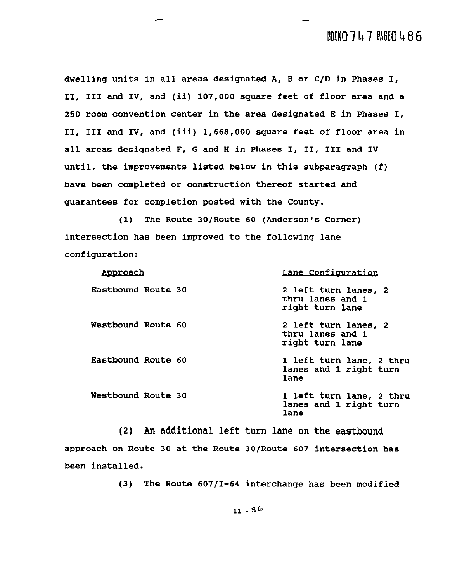### BOOKO 747 PAGEO 486

**dwelling units in all areas designated A, B or C/D in Phases I, 11, I11 and IV, and (ii) 107,000 square feet of floor area and a 250 room convention center in the area designated E in Phases I, 11, I11 and IV, and (iii) 1,668,000 square feet of floor area in all areas designated F, G and H in Phases I, 11, I11 and IV until, the improvements listed below in this subparagraph (f) have been completed or construction thereof started and guarantees for completion posted with the County.** 

**(1) The Route 30/Route 60 (Anderson's Corner) intersection has been improved to the following lane configuration:** 

| Approach           | Lane Configuration                                          |
|--------------------|-------------------------------------------------------------|
| Eastbound Route 30 | 2 left turn lanes, 2<br>thru lanes and 1<br>right turn lane |
| Westbound Route 60 | 2 left turn lanes, 2<br>thru lanes and 1<br>right turn lane |
| Eastbound Route 60 | 1 left turn lane, 2 thru<br>lanes and 1 right turn<br>lane  |
| Westbound Route 30 | 1 left turn lane, 2 thru<br>lanes and 1 right turn<br>lane  |

(2) An additional left turn lane on the eastbound **approach on Route 30 at the Route 30/Route 607 intersection has been installed.** 

**(3) The Route 60711-64 interchange has been modified**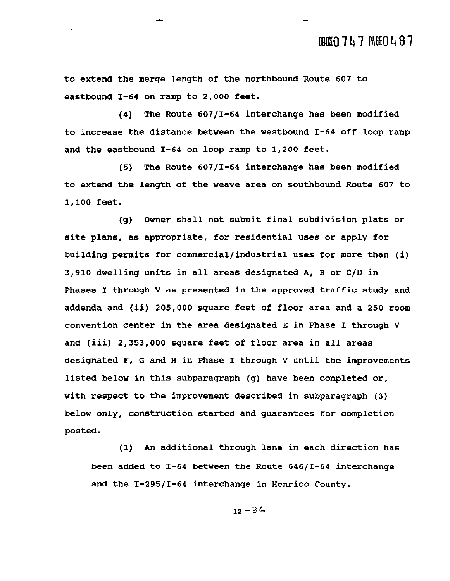**to extend the merge length of the northbound Route 607 to eastbound 1-64 on ramp to 2,000 feet.** 

**(4) The Route 60711-64 interchange has been modified to increase the distance between the westbound 1-64 off loop ramp and the eastbound 1-64 on loop ramp to 1,200 feet.** 

**(5) The Route 60711-64 interchange has been modified to extend the length of the weave area on southbound Route 607 to 1,100 feet.** 

**(g) Owner shall not submit final subdivision plats or site plans, as appropriate, for residential uses or apply for building permits for commercial/industrial uses for more than (i) 3,910 dwelling units in all areas designated A, B or C/D in Phases I through V as presented in the approved traffic study and addenda and (ii) 205,000 square feet of floor area and a 250 room convention center in the area designated E in Phase I through V and (iii) 2,353,000 square feet of floor area in all areas designated F, G and H in Phase I through V until the improvements listed below in this subparagraph (g) have been completed or, with respect to the improvement described in subparagraph (3) below only, construction started and guarantees for completion posted.** 

**(1) An additional through lane in each direction has been added to 1-64 between the Route 64611-64 interchange and the 1-29511-64 interchange in Henrico County.**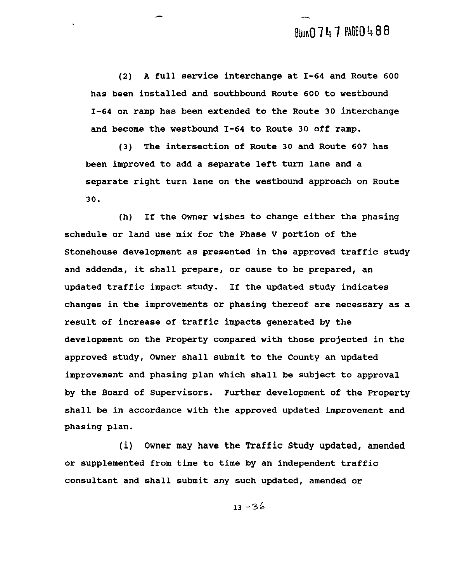**(2) A full service interchange at 1-64 and Route 600 has been installed and southbound Route 600 to westbound 1-64 on ramp has been extended to the Route 30 interchange and become the westbound 1-64 to Route 30 off ramp.** 

**(3) The intersection of Route 30 and Route 607 has been improved to add a separate left turn lane and a separate right turn lane on the westbound approach on Route 30.** 

**(h) If the Owner wishes to change either the phasing schedule or land use mix for the Phase V portion of the Stonehouse development as presented in the approved traffic study and addenda, it shall prepare, or cause to be prepared, an updated traffic impact study. If the updated study indicates changes in the improvements or phasing thereof are necessary as a result of increase of traffic impacts generated by the development on the Property compared with those projected in the approved study, Owner shall submit to the County an updated improvement and phasing plan which shall be subject to approval by the Board of Supervisors. Further development of the Property shall be in accordance with the approved updated improvement and phasing plan.** 

**(i) Owner may have the Traffic Study updated, amended or supplemented from time to time by an independent traffic consultant and shall submit any such updated, amended or**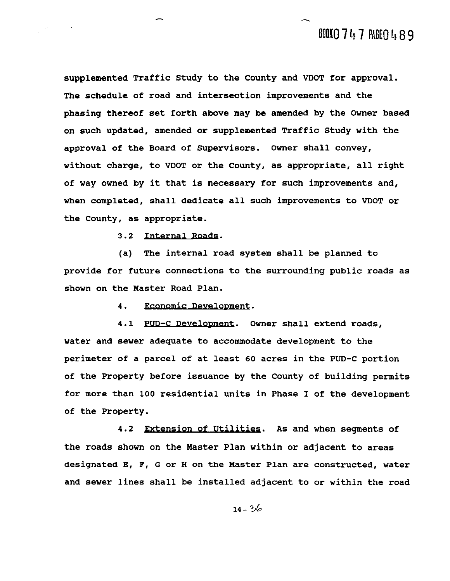**supplemented Traffic Study to the County and VDOT for approval. The schedule of road and intersection improvements and the phasing thereof set forth above may be amended by the Owner based on such updated, amended or supplemented Traffic Study with the approval of the Board of Supervisors. Owner shall convey, without charge, to VDOT or the County, as appropriate, all right of way owned by it that is necessary for such improvements and, when completed, shall dedicate all such improvements to VDOT or the County, as appropriate.** 

3.2 Internal Roads.

**(a) The internal road system shall be planned to provide for future connections to the surrounding public roads as shown on the Master Road Plan.** 

> Economic Development. **4.**

4.1 **PUD-C Development.** Owner shall extend roads, **water and sewer adequate to accommodate development to the perimeter of a parcel of at least 60 acres in the PUD-C portion of the Property before issuance by the County of building permits for more than 100 residential units in Phase I of the development of the Property.** 

4.2 Extension of Utilities. As and when segments of **the roads shown on the Master Plan within or adjacent to areas designated E, F, G or H on the Master Plan are constructed, water and sewer lines shall be installed adjacent to or within the road**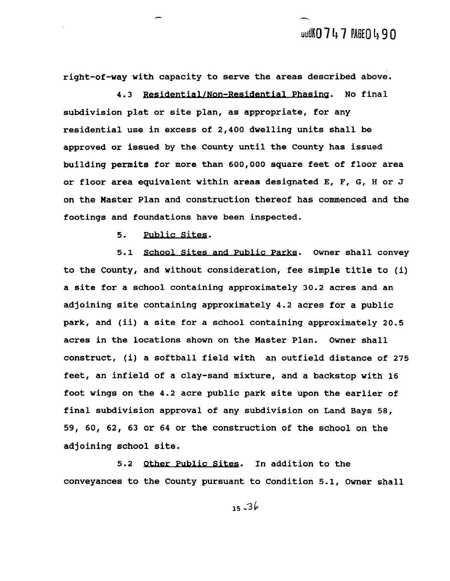right-of-way with capacity to serve the areas described above.<br>4.3 <u>Residential/Non-Residential Phasing</u>. No final

**subdivision plat or site plan, as appropriate, for any residential use in excess of 2,400 dwelling units shall be approved or issued by the County until the County has issued building permits for more than 600,000 square feet of floor area or floor area equivalent within areas designated El F, GI H or J on the Master Plan and construction thereof has commenced and the footings and foundations have been inspected.** 

**5.** 

5. <u>Public Sites</u>.<br>5.1 <u>School Sites and Public Parks</u>. Owner shall convey **to the County, and without consideration, fee simple title to (i) a site for a school containing approximately 30.2 acres and an adjoining site containing approximately 4.2 acres for a public park, and (ii) a site for a school containing approximately 20.5 acres in the locations shown on the Master Plan. Owner shall construct, (i) a softball field with an outfield distance of 275 feet, an infield of a clay-sand mixture, and a backstop with 16 foot wings on the 4.2 acre public park site upon the earlier of final subdivision approval of any subdivision on Land Bays 58, 59, 60, 62, 63 or 64 or the construction of the school on the adjoining school site.** 

5.2 Other Public Sites. In addition to the **conveyances to the County pursuant to Condition 5.1, Owner shall**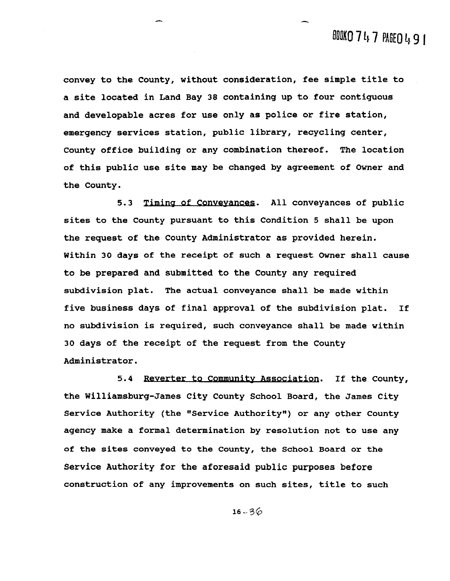**convey to the County, without consideration, fee simple title to a site located in Land Bay 38 containing up to four contiguous and developable acres for use only as police or fire station, emergency services station, public library, recycling center, County office building or any combination thereof. The location of this public use site may be changed by agreement of Owner and the County.** 

**5.3 Timing of Conveyances.** All conveyances of public **sites to the County pursuant to this Condition 5 shall be upon the request of the County Administrator as provided herein. Within 30 days of the receipt of such a request Owner shall cause to be prepared and submitted to the County any required subdivision plat. The actual conveyance shall be made within five business days of final approval of the subdivision plat. If no subdivision is required, such conveyance shall be made within 30 days of the receipt of the request from the County Administrator.** 

5.4 Reverter to Community Association. If the County, **the Williamsburg-James City County School Board, the James City Service Authority (the "Service Authority") or any other County agency make a formal determination by resolution not to use any of the sites conveyed to the County, the School Board or the Service Authority for the aforesaid public purposes before construction of any improvements on such sites, title to such**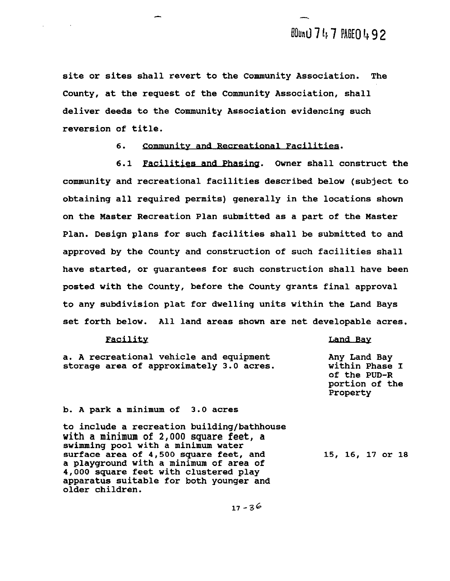**site or sites shall revert to the Community Association. The County, at the request of the Community Association, shall deliver deeds to the Community Association evidencing such reversion of title.** 

> 6. Community and Recreational Facilities.

**6.1 Facilities and Phasing. Owner shall construct the community and recreational facilities described below (subject to obtaining all required permits) generally in the locations shown on the Master Recreation Plan submitted as a part of the Master Plan. Design plans for such facilities shall be submitted to and approved by the County and construction of such facilities shall have started, or guarantees for such construction shall have been posted with the County, before the County grants final approval to any subdivision plat for dwelling units within the Land Bays set forth below. All land areas shown are net developable acres.** 

#### Facility

#### Land Bay

**a. A recreational vehicle and equipment Any Land Bay storage area of approximately 3.0 acres. within Phase I of the PUD-R portion of the Property b. A park a minimum of 3.0 acres to include a recreation building/bathhouse**  with a minimum of 2,000 square feet, a **swimming pool with a minimum water surface area of 4,500 square feet, and**  15, 16, 17 or 18 **a playground with a minimum of area of 4,000 square feet with clustered play apparatus suitable for both younger and older children.**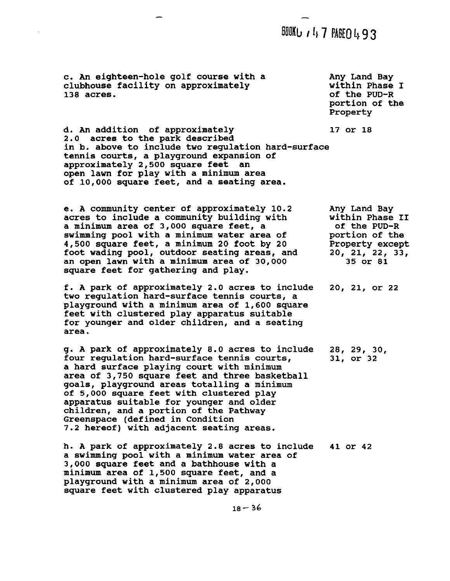**BOOKU / 47 PABEO 493** 

**c. An eighteen-hole golf course with a clubhouse facility on approximately 138 acres.** 

**Any Land Bay within Phase I of the PUD-R portion of the Property** 

17 or 18

**d. An addition of approximately 2.0 acres to the park described in b. above to include two regulation hard-surface tennis courts, a playground expansion of approximately 2,500 square feet an open lawn for play with a minimum area of 10,000 square feet, and a seating area.** 

**e. A community center of approximately 10.2 acres to include a community building with a minimum area of 3,000 square feet, a swimming pool with a minimum water area of 4,500 square feet, a minimum 20 foot by 20 foot wading pool, outdoor seating areas, and an open lawn with a minimum area of 30,000 square feet for gathering and play. Any Land Bay within Phase I1 of the PUD-R portion of the Property except 20, 21, 22, 33, 35 or 81** 

**f. A park of approximately 2.0 acres to include**  20, 21, or 22 **two regulation hard-surface tennis courts, a playground with a minimum area of 1,600 square feet with clustered play apparatus suitable for younger and older children, and a seating area.** 

**g. A park of approximately 8.0 acres to include**  28, 29, 30, **four regulation hard-surface tennis courts,**  31, or 32 **a hard surface playing court with minimum area of 3,750 square feet and three basketball goals, playground areas totalling a minimum of 5,000 square feet with clustered play apparatus suitable for younger and older children, and a portion of the Pathway Greenspace (defined in Condition 7.2 hereof) with adjacent seating areas.** 

**h. A park of approximately 2.8 acres to include**  41 or 42 **a swimming pool with a minimum water area of 3,000 square feet and a bathhouse with a minimum area of 1,500 square feet, and a playground with a minimum area of 2,000 square feet with clustered play apparatus**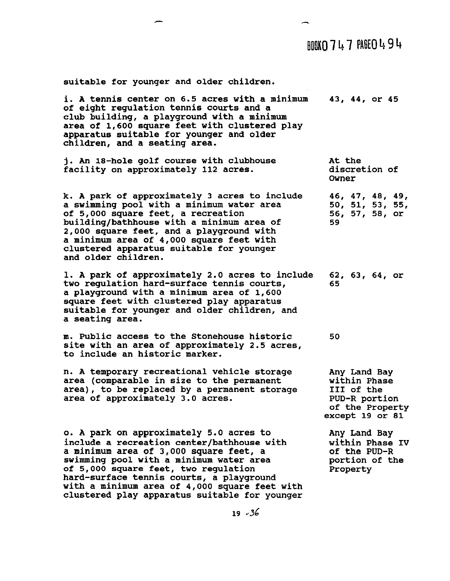### $RMSO7L7RSEOL9H$

**suitable for younger and older children.** 

**i. A tennis center on 6.5 acres with a minimum**  43, 44, or 45 **of eight regulation tennis courts and a club building, a playground with a minimum area of 1,600 square feet with clustered play apparatus suitable for younger and older children, and a seating area. j. An 18-hole golf course with clubhouse At the facility on approximately 112 acres. discretion of Owner k. A park of approximately 3 acres to include**  46, 47, 48, 49, 50, 51, 53, 55, **a swimming pool with a minimum water area of 5,000 square feet, a recreation 56; 57; 58; or. building/bathhouse with a minimum area of 59 2,000 square feet, and a playground with a minimum area of 4,000 square feet with clustered apparatus suitable for younger and older children. 1. A park of approximately 2.0 acres to include**  62, 63, 64, or **two regulation hard-surface tennis courts,**  65 **a playground with a minimum area of 1,600 square feet with clustered play apparatus suitable for younger and older children, and a seating area. m. Public access to the Stonehouse historic**  50 **site with an area of approximately 2.5 acres, to include an historic marker. n. A temporary recreational vehicle storage Any Land Bay area (comparable in size to the permanent within Phase area), to be replaced by a permanent storage I11 of the area of approximately 3.0 acres. PUD-R portion of the Property except 19 or 81 o. A park on approximately 5.0 acres to Any Land Bay include a recreation center/bathhouse with within Phase IV a minimum area of 3,000 square feet, a of the PUD-R swimming pool with a minimum water area portion of the of 5,000 square feet, two regulation Property hard-surface tennis courts, a playground** 

 $19 - 36$ 

**with a minimum area of 4,000 square feet with clustered play apparatus suitable for younger**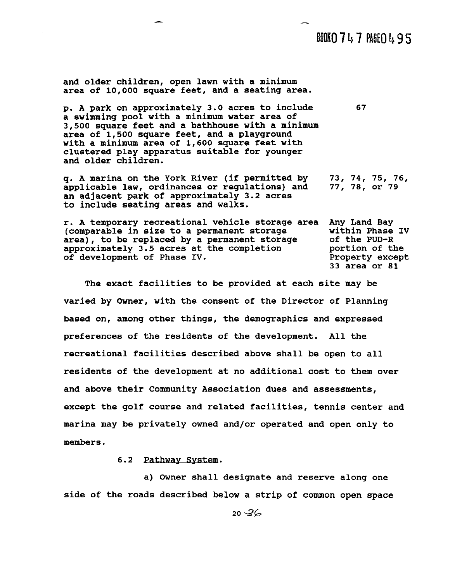### BOOKO 747 PAGEO 495

67

**and older children, open lawn with a minimum area of 10,000 square feet, and a seating area.** 

**p. A park on approximately 3.0 acres to include a swimming pool with a minimum water area of 3,500 square feet and a bathhouse with a minimum area of 1,500 square feet, and a playground with a minimum area of 1,600 square feet with clustered play apparatus suitable for younger and older children.** 

**q. A marina on the York River (if permitted by 73, 74, 75, 76,**  applicable law, ordinances or regulations) and **an adjacent park of approximately 3.2 acres to include seating areas and walks.** 

**r. A temporary recreational vehicle storage area Any Land Bay**  (comparable in size to a permanent storage within Phase<br>area), to be replaced by a permanent storage of the PUD-R area), to be replaced by a permanent storage approximately 3.5 acres at the completion **portion of the of development of Phase IV.** Property except of development of Phase IV. **33 area or 81** 

**The exact facilities to be provided at each site may be varied by Owner, with the consent of the Director of Planning based on, among other things, the demographics and expressed preferences of the residents of the development. All the recreational facilities described above shall be open to all residents of the development at no additional cost to them over and above their Community Association dues and assessments, except the golf course and related facilities, tennis center and marina may be privately owned and/or operated and open only to members.** 

#### **6.2** *pathmy* **System.**

**a) Owner shall designate and reserve along one side of the roads described below a strip of common open space**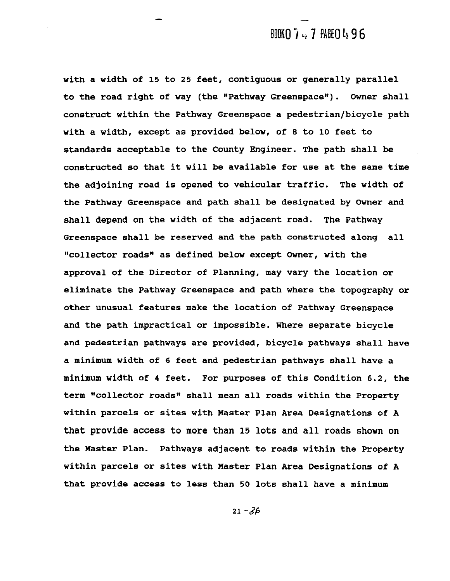### BOOKN 7 ... 7 PAGEN 4 9 6

with a width of 15 to 25 feet, contiguous or generally parallel **to the road right of way (the "Pathway Greenspace"). Owner shall construct within the Pathway Greenspace a pedestrian/bicycle path with a width, except as provided below, of 8 to 10 feet to standards acceptable to the County Engineer. The path shall be constructed so that it will be available for use at the same time the adjoining road is opened to vehicular traffic. The width of the Pathway Greenspace and path shall be designated by Owner and shall depend on the width of the adjacent road. The Pathway Greenspace shall be reserved and the path constructed along all ~8collector roads" as defined below except Owner, with the approval of the Director of Planning, may vary the location or eliminate the Pathway Greenspace and path where the topography or other unusual features make the location of Pathway Greenspace and the path impractical or impossible. Where separate bicycle and pedestrian pathways are provided, bicycle pathways shall have a minimum width of 6 feet and pedestrian pathways shall have a minimum width of 4 feet. For purposes of this Condition 6.2, the term %ollector roadsn shall mean all roads within the Property within parcels or sites with Master Plan Area Designations of A that provide access to more than 15 lots and all roads shown on the Master Plan. Pathways adjacent to roads within the Property within parcels or Sites with Master Plan Area Designations of A that provide access to less than 50 lots shall have a minimum**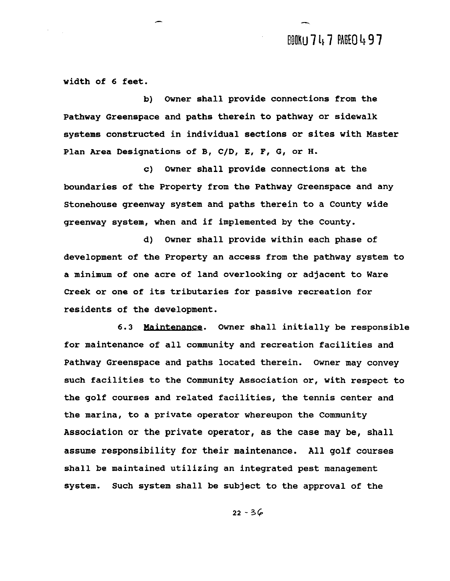## BOOKU 747 PAGEO497

**width of 6 feet.** 

**b) Owner shall provide connections from the Pathway Greenspace and paths therein to pathway or sidewalk systems constructed in individual sections or sites with Master**  Plan Area Designations of B, C/D, E, F, G, or H.

**c) Owner shall provide connections at the boundaries of the Property from the Pathway Greenspace and any Stonehouse greenway system and paths therein to a County wide greenway system, when and if implemented by the County.** 

**d) Owner shall provide within each phase of development of the Property an access from the pathway system to a minimum of one acre of land overlooking or adjacent to Ware Creek or one of its tributaries for passive recreation for residents of the development.** 

**6.3 Maintenance. Owner shall initially be responsible for maintenance of all community and recreation facilities and Pathway Greenspace and paths located therein. Owner may convey such facilities to the Community Association or, with respect to the golf courses and related facilities, the tennis center and the marina, to a private operator whereupon the Community Association or the private operator, as the case may be, shall assume responsibility for their maintenance. All golf courses shall be maintained utilizing an integrated pest management system. Such system shall be subject to the approval of the**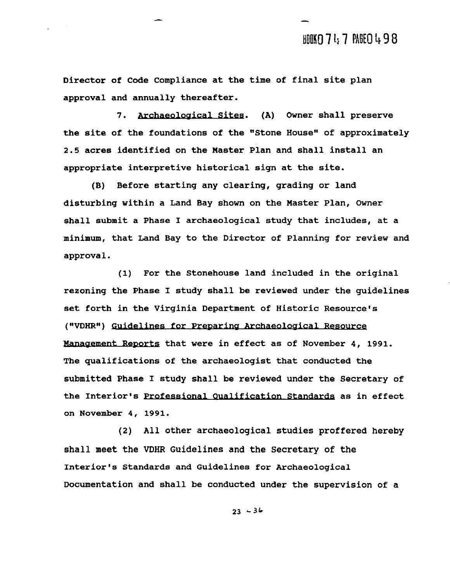**Director of Code Compliance at the time of final site plan approval and annually thereafter.** 

7. Archaeological Sites. (A) Owner shall preserve the site of the foundations of the "Stone House" of approximately **2.5 acres identified on the Master Plan and shall install an appropriate interpretive historical sign at the site.** 

**(B) Before starting any clearing, grading or land disturbing within a Land Bay shown on the Master Plan, Owner shall submit a Phase I archaeological study that includes, at a minimum, that Land Bay to the Director of Planning for review and approva 1.** 

**(1) For the Stonehouse land included in the original rezoning the Phase I study shall be reviewed under the guidelines set forth in the Virginia Department of Historic Resource's**  ("VDHR") Guidelines for Preparing Archaeological Resource Management Reports that were in effect as of November 4, 1991. **The qualifications of the archaeologist that conducted the submitted Phase I study shall be reviewed under the Secretary of**  submitted Phase I study shall be reviewed under the Secretary of<br>the Interior's <u>Professional Qualification Standards</u> as in effect **on November 4, 1991.** 

**(2) All other archaeological studies proffered hereby shall meet the VDHR Guidelines and the Secretary of the Interior's Standards and Guidelines for Archaeological Documentation and shall be conducted under the supervision of a**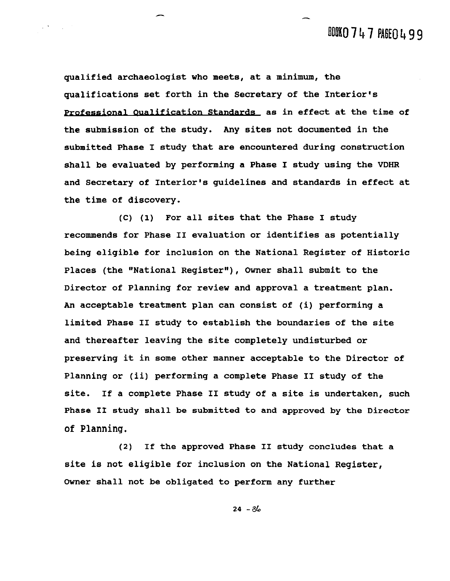# BOOKO 747 PAGEO 499

**qualified archaeologist who meets, at a minimum, the qualifications set forth in the Secretary of the Interior's**  Professional **Qualification Standards** as in effect at the time of **the submission of the study. Any sites not documented in the submitted Phase I study that are encountered during construction shall be evaluated by performing a Phase I study using the VDHR and Secretary of Interior's guidelines and standards in effect at the time of discovery.** 

 $\mathcal{L}(\mathcal{F})$  and  $\mathcal{L}(\mathcal{F})$ 

**(C) (1) For all sites that the Phase I study recommends for Phase I1 evaluation or identifies as potentially being eligible for inclusion on the National Register of Historic**  Places (the "National Reqister"), Owner shall submit to the **Director of Planning for review and approval a treatment plan. An acceptable treatment plan can consist of (i) performing a limited Phase I1 study to establish the boundaries of the site and thereafter leaving the site completely undisturbed or preserving it in some other manner acceptable to the Director of Planning or (ii) performing a complete Phase I1 study of the site. If a complete Phase I1 study of a site is undertaken, such Phase I1 study shall be submitted to and approved by the Director of Planning.** 

**(2) If the approved Phase I1 study concludes that a site is not eligible for inclusion on the National Register, Owner shall not be obligated to perform any further**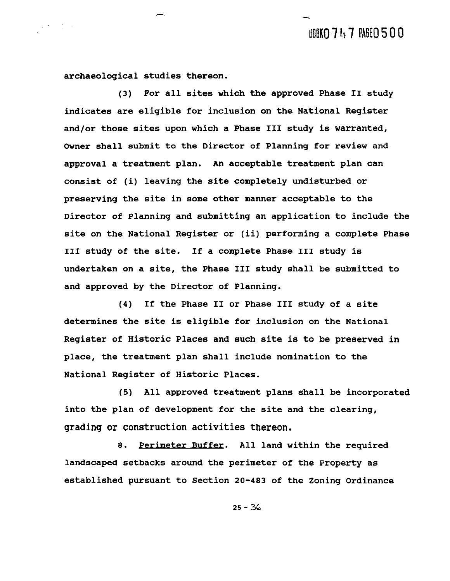**archaeological s tudies thereon.** 

 $\mathcal{L}(\mathcal{F})$  ,  $\mathcal{L}(\mathcal{F})$  ,

**(3) For all sites which the approved Phase I1 study indicates are eligible for inclusion on the National Register and/or those sites upon which a Phase I11 study is warranted, Owner shall submit to the Director of Planning for review and approval a treatment plan. An acceptable treatment plan can consist of (i) leaving the site completely undisturbed or preserving the site in some other manner acceptable to the Director of Planning and submitting an application to include the site on the National Register or (ii) performing a complete Phase I11 study of the site. If a complete Phase I11 study is undertaken on a site, the Phase I11 study shall be submitted to and approved by the Director of Planning.** 

**(4) If the Phase I1 or Phase I11 study of a site determines the site is eligible for inclusion on the National Register of Historic Places and such site is to be preserved in place, the treatment plan shall include nomination to the National Register of Historic Places.** 

**(5) All approved treatment plans shall be incorporated into the plan of development for the site and the clearing,**  grading or construction activities thereon.

**8.** Perimeter. **All land within the required landscaped setbacks around the perimeter of the Property as established pursuant to Section 20-483 of the Zoning Ordinance**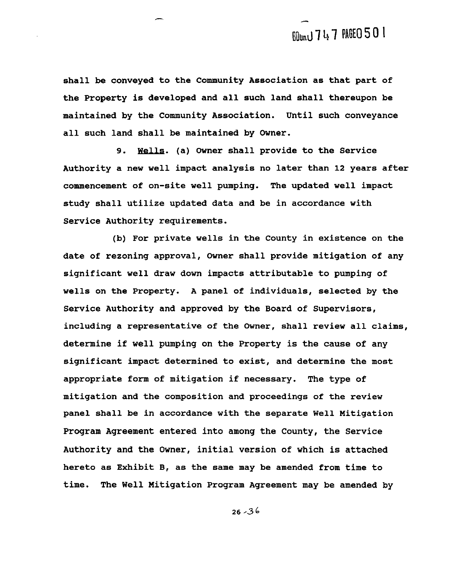**shall be conveyed to the Community Association as that part of the Property is developed and all such land shall thereupon be maintained by the Community Association. Until such conveyance all such land shall be maintained by Owner.** 

**9.** Wells. **(a) Owner shall provide to the Service Authority a new well impact analysis no later than 12 years after commencement of on-site well pumping. The updated well impact study shall utilize updated data and be in accordance with Service Authority requirements.** 

**(b) For private wells in the County in existence on the date of rezoning approval, Owner shall provide mitigation of any significant well draw down impacts attributable to pumping of wells on the Property. A panel of individuals, selected by the Service Authority and approved by the Board of Supervisors, including a representative of the Owner, shall review all claims, determine if well pumping on the Property is the cause of any significant impact determined to exist, and determine the most appropriate form of mitigation if necessary. The type of mitigation and the composition and proceedings of the review panel shall be in accordance with the separate Well Mitigation Program Agreement entered into among the County, the Service Authority and the Owner, initial version of which is attached hereto as Exhibit B, as the same may be amended from time to time. The Well Mitigation Program Agreement may be amended by**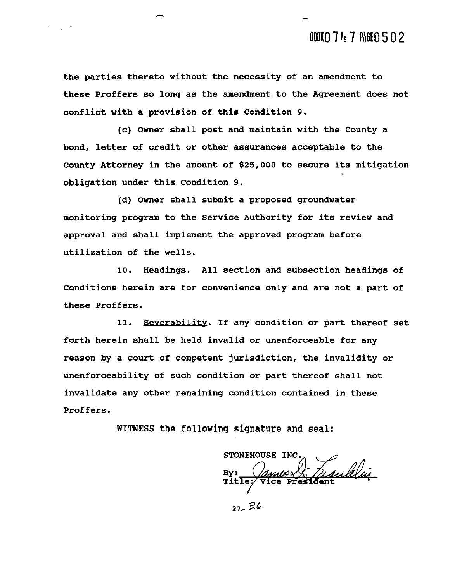**the parties thereto without the necessity of an amendment to these Proffers so long as the amendment to the Agreement does not conflict with a provision of this Condition 9.** 

**(c) Owner shall post and maintain with the County a bond, letter of credit or other assurances acceptable to the County Attorney in the amount of \$25,000 to secure its mitigation obligation under this Condition 9.** 

**(d) Owner shall submit a proposed groundwater monitoring program to the Service Authority for its review and approval and shall implement the approved program before utilization of the wells.** 

10. **Headings.** All section and subsection headings of **Conditions herein are for convenience only and are not a part of these Proffers.** 

11. Severability. If any condition or part thereof set **forth herein shall be held invalid or unenforceable for any reason by a court of competent jurisdiction, the invalidity or unenforceability of such condition or part thereof shall not invalidate any other remaining condition contained in these**  Proffers.

**WITNESS the following signature and seal:** 

STONEHOUSE INC. Tandelui **Vice Presiden**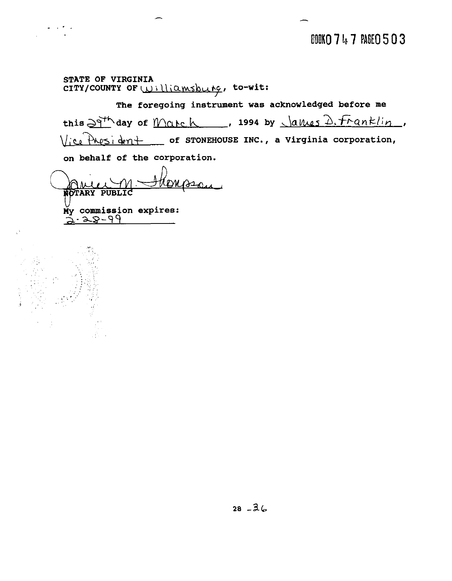BOOKO 747 PAGEO 503

**STATE OF VIRGINIA**  CITY/COUNTY OF Williamsburg, to-wit:

**The foregoing instrument was acknowledged before me**   $this \frac{\partial q^{th}}{\partial x^{th}}$  day of Match , 1994 by  $\frac{\partial q^{th}}{\partial x^{th}}$ ,  $f_{r}$ anklin, **of STONEHOUSE INC., a Virginia corporation,** 

**on behalf of the corporation.** 

Ų. My commission expires:<br><del>2.28-99</del>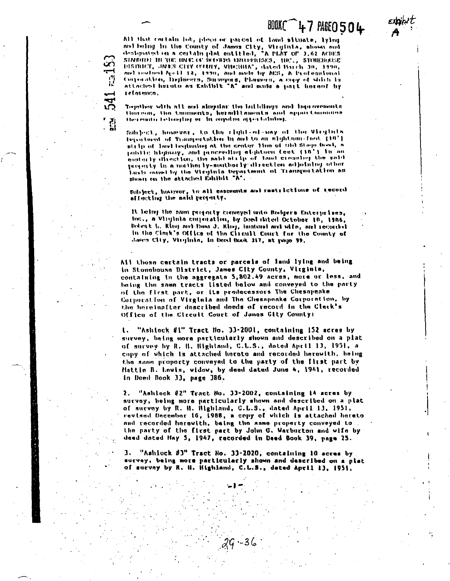# BOOKC 47 PAGE 0504

All that cortain lot, piece or parcel of land situate, lying and helmg in the County of James City, Virginia, shown and designated on a certain plat entitled, "A PLAT OF 1,62 ACRES STMOTHER IN THE INCE OF BELLEVIA EDITORIESES, THE ... STOREHOODE DISINICT, JNES CITY COUNT, VIOLIBUA", dated Barch 30, 1990, and rewised April 12, 1970, and mids by AUS, A Professional Corporation, Depheers, Surveyors, Planners, a capy of shielt is attached being as Eshibit "A" and made a part horself by reforenco.

Together with all and aimplar the buildings and interestments thornour, tha tonoments, hereditaments and applicancements<br>thereign belonging or in anyoing appertations,

Schied. however, to the right-of-way of the Virginia Department of Transportation in and to an aightgan-food 110'l ata ip of land beginning at the center time of the Stage head, a public highway, and proceeding eightness feet (18') in an easterly direction, the said strip of land creating the said property in a norther ty-marther ly direction adjoining other laists owned by the Virginia Separtment of Transportation as

Subject, hospoor, to all easements and restrictions of tecord attenting the naid proporty.

It being the same projecty conveyed unto Rodgers Enterprises, for., a Virginia correction, by Deed thied October 10, 1986, Robert L. King met Dunt J. King, husband and wife, and recorded In the Clerk's Office of the Circuit Court for the County of Jairs Cliy, Virginia, In Deed Book 317, at pago 99,

All those certain tracts or parcels of land lying and being In Stonohousn District, James City County, Virginia, containing in the aggregate 5,802.49 acres, more or less, and being the same tracts listed below and conveyed to the party of the first part, or its predecessors The Chesapeake Corporation of Virginia and The Chesapeake Corporation, by the hereinafter described deeds of record in the Clerk's Office of the Circuit Court of James City County:

"Ashlock #1" Tract No. 33-2001, containing 152 acres by  $\mathbf{L}$ survey, being more particularly shown and described on a plat of survey by R. H. Highland, C.L.S., dated April 13, 1951, a copy of which is attached horato and recorded herewith, being the same proporty conveyed to the party of the first part by Hattle B. Lowis, widow, by deed dated June 4, 1941, recorded In Deed Book 33, page 386,

"Ashlock #2" Tract No. 33-2002, containing 14 scres by  $\mathbf{2}$  . survey, being more particularly shown and described on a plat of survey by R. H. Highland, C.L.S., dated April 11, 1951, revised December 16, 1988, a copy of which is attached hereto and recorded herewith, baing the same property conveyed to the party of the first part by John G. Warburton and wife by deed dated Hay 5, 1947, recorded in Deed Book 39, page 25.

"Ashlock #3" Tract No. 33-2020, containing 10 acres by 3. survey, being more particularly shown and described on a plat of survny by R. H. Highland, C.L.S., dated April 13, 1951,

ە 3-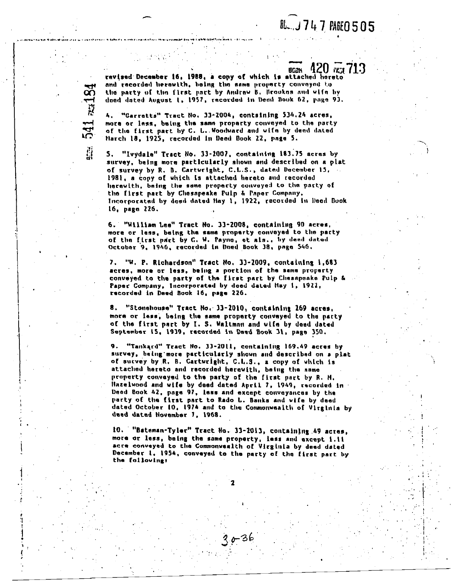# **BL.J747 PAGE0505**

92U ա 715 BCak revised December 16, 1988, a cony of which is attached hereto and recorded herewith, boing the same property conveyed to the party of the first part by Andrew B. Brookes and wife by doed dated August 1, 1957, recorded in Dead Book 62, page 93.

4. "Garretts" Tract No. 33-2004, containing 534.24 acres, more or lass, being the same proparty conveyed to the party of the first part by C. L. Woodward and wife by deed dated March 18, 1925, recorded in Deed Book 22, page 5.

541 au18

្ពឺរ

"Ivydale" Tract No. 33-2007, containing 183.75 acres by 5. survey, being more particularly shown and described on a plat of survey by R. B. Carturight, C.L.S., dated December 15, 1981, a copy of which is attached hereto and recorded herewith, being the same property conveyed to the party of the first part by Chesapeake Pulp & Paper Company. Incorporated by deed dated May 1, 1922, recorded in Deed Book 16, pago 226.

6. "William Lee" Tract No. 33-2008, containing 90 acres, more or less, being the same property conveyed to the party of the first part by C. W. Payne, et als., by deed dated October 9, 1946, recorded in Doed Book 38, page 546.

7. "W. P. Richardson" Tract No. 33-2009, containing 1,683 acres, more or less, being a portion of the same property conveyed to the party of the first part by Chesapeake Pulp & Paper Company, Incorporated by deed dated Hay 1, 1922, recorded in Deed Book 16, page 226.

"Stonehouse" Tract No. 33-2010, containing 269 acres, 8. more or less, being the same property conveyed to the party of the first part by I. S. Waltman and wife by deed dated September 15, 1939, recorded in Deed Book 31, page 350.

"Tankard" Tract No. 33-2011, containing 169.49 acres by 9. survey, being more particularly shown and described on a plat of survey by R. B. Cartwright, C.L.S., a copy of which is attached hereto and recorded herewith, being the same property convayed to the party of the first part by R. M. Hazelwood and wife by deed dated April 7, 1949, recorded in Deed Book 42, page 97, less and except conveyances by the party of the first part to Rado L. Banks and wife by deed dated October 10, 1974 and to the Commonwealth of Virginia by deed dated November 7, 1968.

10. "Bateman-Tyler" Tract No. 33-2013, containing 49 acres, more or less, being the same property, less and except 1.11 acre conveyed to the Commonwealth of Virginia by deed dated December 1, 1954, conveyed to the party of the first part by the following: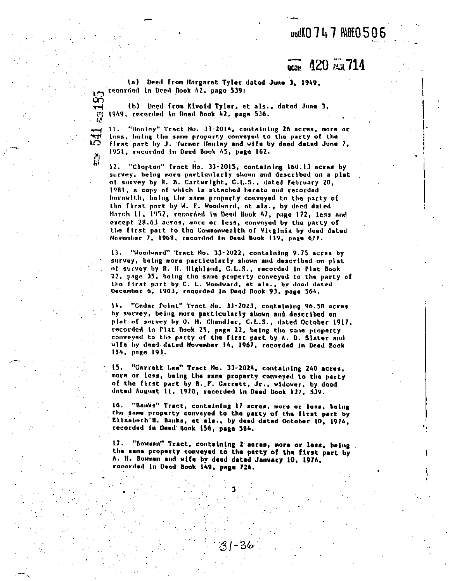### **wdKO747 PAGE0506**

#### $-420$   $\frac{22}{134}$   $714$ **NCON**

(a) Deed from Hargaret Tyler dated June 3, 1949. recorded in Dead Book 42, page 539;

ပ္ပြ

 $\vec{E}$ 

וירים<br>בי

(b) Deed from Elvoid Tyler, et als., dated June J. 1949, recorded in Deed Book 42, page 536.

11. "Honiny" Tract No. 33-2014, containing 26 acres, more or lass, baing the same property conveyed to the party of the first part by J. Turner Healey and wife by deed dated June 7, 1951, racorded in Deed Book 45, page 162.

12. "Clopton" Tract No. 33-2015, containing 160.13 acres by survey, being more particularly shown and described on a plat of survey by R. B. Carturight, C.L.S., dated February 20, 1981, a copy of which is attached hereto and recorded herowith, being the same property conveyed to the party of the first part by W. F. Woodward, et als., by deed dated March 11, 1952, recorded in Deed Book 47, page 172, less and except 28.63 acres, more or less, conveyed by the party of the first part to the Commonwealth of Virginia by deed dated November 7, 1968, recarded in Dead Book 119, page 677.

13. "Woodward" Tract No. 33-2022, containing 9.75 acres by survey, being more particularly shown and described on plat of survey by R. H. Highland, C.L.S., recorded in Plat Book 22. page 35, being the same property conveyed to the party of the first part by C. L. Woodward, et als., by deed dated December 6, 1963, recorded in Deed Book 93, page 564.

14. "Cedar Point" Tract No. 33-2023, containing 96.58 acres by survey, being more particularly shown and described on plat of survey by O. M. Chandler, C.L.S., dated October 1917, racorded in Plat Book 25, page 22, being the same property conveyed to the party of the first part by A. D. Slater and wife by deed dated November 14, 1967, recorded in Deed Book 114. page 193.

"Garrett Lee" Tract No. 33-2024, containing 240 acres, 15. more or less, being the same property conveyed to the party of the first part by B. F. Carrett, Jr., widower, by deed dated August 11, 1970, recorded in Deed Book 127, 539.

 $16.$ "Sanks" Tract, containing 17 acres, more or less, being the same property conveyed to the party of the first part by Ellzabeth'H. Banks, et als., by deed dated October 10, 1974, recorded in Deed Book 156, page 584.

17. "Bowman" Tract, containing 2 acres, more or less, being. the same property conveyed to the party of the first part by A. H. Bowman and wife by deed dated January 10, 1974, racorded in Deed Book 149, page 724.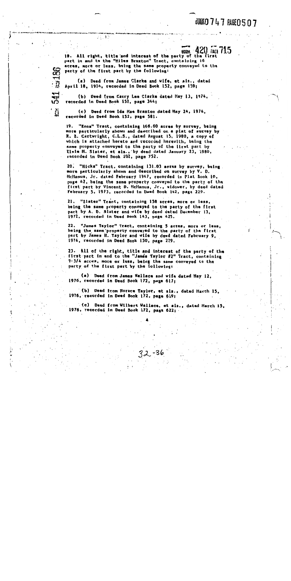# **JOOKO 747 PAGEO 507**

**BOOK 42U 74GL /15** 18. All right, title and interest of the party of the first part in and to the "Hiles Braxton" Tract, containing 16 acres, more or less, boing the same property conveyed to the party of the first part by the following:

(a) Deed from James Clarke and wife, et als., dated April 18, 1974, recorded in Deed Book 152, page 159;

23.32

25186

541

֞֓׆֧֧֧֧֧֧֧֧֧֧֧֧֧֧֧֧֧֧֩֓֓֩֓֓֓֩֓֬֩֓֓֓֓֩֓֩֓֩֓֩֓֩֓׆֧<br>֧֧֧֧֧֧֧֧֞֩֩֞

(b) Deed from Carry Lee Clarke dated Hay 13, 1974, recorded in Deed Book 152, page 344;

(c) Deed from Ida Hae Braxton dated Hay 24, 1974, recorded in Deed Book 152, page 581.

19. "Enos" Tract, containing 168.60 acres by survey, being more particularly shown and described on a plat of survey by R. B. Cartwright, C.L.S., dated August 15, 1980, a copy of which is attached hereto and recorded herewith, being the same property conveyed to the party of the first part by Elsie H. Slater, et als., by deed dated January 23, 1980, recorded in Deed Book 202, page 752.

"Hicks" Tract, containing 131.03 acres by survey, being. 20. more particularly shown and described on survey by V. D. HcHanus, Jr. dated February 1947, recorded in Plat Book 10, page 42, being the same property conveyed to the party of the first part by Vincent D. HcManus, Jr., widower, by deed dated February 5, 1973, recorded in Deed Book 142, page 229.

21. "Slater" Tract, containing 158 acres, more or less, being the same property conveyed to the party of the first part by A. D. Slater and wife by deed dated December 13, 1972, recorded in Deed Book 143, page 425.

22. "James Taylor" Tract, containing 5 acres, more or less, being the same property conveyed to the party of the first part by James H. Taylor and wife by deed dated February 9, 1974, recorded in Daed Book 150, page 229.

23. All of the right, title and interest of the party of the first part in and to the "James Taylor #2" Tract, containing 9-3/4 acres, more or less, being the same conveyed to the party of the first part by the following:

(a) Deed from James Wallace and wife dated Hay 12, 1976, recorded in Deed Book 172, page 617;

(b) Deed from Horace Taylor, et als., dated Harch 15, 1976, recorded in Deed Book 172, page 619;

(c) Deed from Wilbert Wallace, et als., dated March 15, 1976, recorded in Deed Book 172, page 622;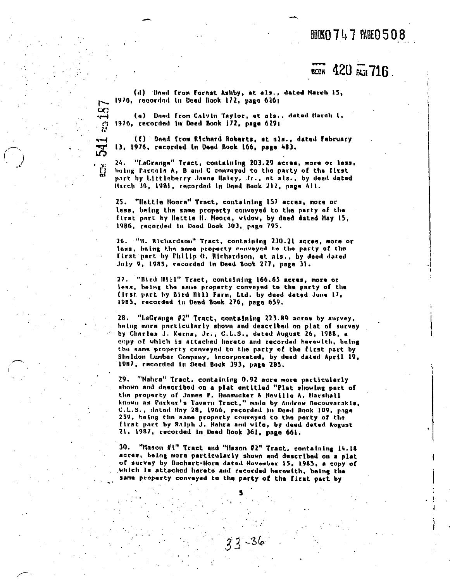### BOOKO 747 PAGEO 508

# 

(d) Deed from Forest Ashby, et als., dated Harch 15, 1976, recorded in Deed Book 172, page 626;

(a) Doed from Calvin Taylor, et als., dated Harch I, 1976, recorded in Deed Book 172, page 629;

**187** 

541

(1) Dond from Richard Roberts, et als., dated February 11, 1976, recorded in Deed Book 166, page 483.

"LaGrange" Tract, containing 203.29 acres, more or less,  $24.7$ being Parcels A, B and C conveyed to the party of the first part by Littleberry Jamns Haloy, Jr., et als., by deed dated Harch 30, 1981, recorded in Deed Book 212, page 411.

25. "Hettie Hoore" Tract, containing 157 acres, more or less, being the same proporty conveyed to the party of the first part by Hettie H. Hoore, widow, by deed dated Hay 15, 1986, recorded in Dead Book 303, page 795.

26. "B. Richardson" Tract, containing 230.21 acres, more or less, being the same property conveyed to the party of the Ilrst part by Philip O. Richardson, et als., by deed dated July 9, 1985, recorded in Dead Book 277, page 31.

27. "Bird Hill" Tract, containing 166.65 acres, more or less, boing the same property conveyed to the party of the first part by Bird Hill Farm, Ltd. by deed dated June 17, 1985, recorded in Deed Book 276, page 659.

"LaGrange #2" Tract, containing 223.89 acres by survey, 28. being more particularly shown and described on plat of survey by Charles J. Kerns, Jr., C.L.S., dated August 26, 1988, a copy of which is attached hereto and recorded herewith, being the same property conveyed to the party of the first part by Shaldon Lumber Company, incorporated, by dead dated April 19, 1987, recorded in Deed Book 393, page 285.

29. "Nahra" Tract, containing 0.92 acre more particularly shown and described on a plat entitled "Plat showing part of the property of James F. Hunsucker & Neville A. Harshall known as Parker's Tavern Tract," made by Andrew Becouvarakis, C.L.S., dated Hay 28, 1966, recorded in Deed Book 109, page 259, being the same property conveyed to the party of the first part by Ralph J. Nahra and wife, by deed dated August 21, 1987, recorded in Deed Book 361, page 661.

30. "Hason #l" Tract and "Hason #2" Tract, containing 14.18 acres, being more particularly shown and described on a plat of survey by Buchart-Horn dated November 15, 1985, a copy of which is attached hereto and recorded herowith, being the same property conveyed to the party of the first part by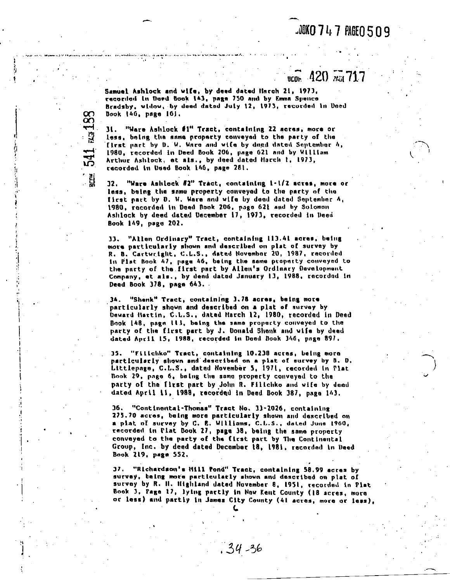### **JUKO 747 PAGEO 509**

#### .4ZU *x*a (14 ucne.

Samuel Ashlock and ulle, by demd datad llnroh 21, 1973, racordod in Doed Book 143, page 750 and by Emma Spence Bradsby, widow, by deed dated July 12, 1973, recorded in Doed Dook 140, page 161.

31. "Ware Ashlock #I" Tract, contalnlng 22 acres, more or less, being the same property conveyed to the party of the first part by D. W. Ware and wife by dued dated September h, 1980, recorded in Deed Book 206, page 621 and by William Arthur Ashlock, et als., by deed dated Harch I, 1973, recordod In Deed Book 160, pnge 281.

Rai 188

541

**32.** "Ware Ashlock **IZ"** Tract, contalnlng \-LIZ acrsa, moro or less, balng the snmu property cnweyed to tho party of tho first part by D. W. Ware and wife by deed dated September  $A_{\rm c}$ 1980. rocorded In Deed nook 206, page 621 and by Solomon Asl~lock by deed dated Uecembet **17,** 1913, recorded 181 Veeli Book 169, page 202.

33. "Allen Ordinary" Tract, containing 113.41 acres, being more particularly shown and described on plat of survey by **R.** 8. Cartwrlgllt. C.L.S., dated Novenhnr 20, 1987, recoidcd In Plat Book 47, page 46, being the same property conveyed to the party of the first part by Allen's Ordinary Development Company, et als.. by deed dated January 13, 1988, racordod in Deed Book 378, page 643.

**36.** "Shank" Tract, contalnlng 3.18 acres, belng more 'particularly shown and dsscrlbed on a plat of survey by Deward Hartin, C.L.S., dated Harch 12, 1980, recorded in Deed Book 148, page 113, being the same property conveyed to the party of the first part by J. Donald Shenk and wife by deed dated Alrrll 15. 1988, recordod In Uaed Dook **346,** pnge 891.

**35. "Fillchko" Tract, containing 10.238 acres, being more** partlculwrly shown and dascrlbad on **a** plat of aurvey by 0. **D.**  Littlepane, C.L.S., dated November **5,** 1911, recorded in Plat Book 29, page 6, being the same property conveyed to the party of the first part by John R. Filichko and wife by deed dated Aprll 11, 1988, recorded in Deed Book *381,* page 163.

36. "Continental-Thomas" Tract No. 13-2026, containing 275.70 acres, being more particularly shown and described on a plat of survey by C. E. Williams, C.L.S., dated June 1960, recorded In Plat Douk 21, page 38, belug the same property conveyed to the party of the first part by The Continental Group, Inc. by deed dated December 18, 1981, recorded in Deed Book 219. page 552.

37. "Richardson's Hill Pond" Tract, containing 58.99 acres by survey, being more particulatly shown and described on plat of survey by R. II. Ilighland dated November 8, 1951, recorded in Plat Book **J. Page 17, lying partly in New Kent County (18 acres, more** or lass) and partly In James Clty County (41 acres, more or less),

**C** 

 $.34 - 36$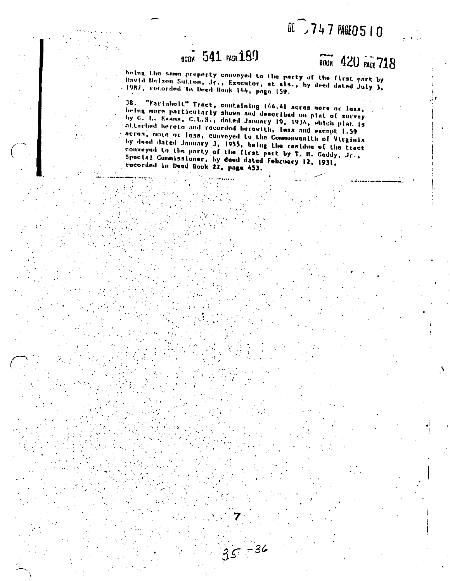# BL 747 PAGE0510

# **BCOK** 541 **PLGR** 189

# **BOOK 420 FAGE 718**

being the same property conveyed to the party of the first part by David Notson Sutton, Jr., Executor, et als., by deed dated July 3, 1987, recorded in Deed Book 144, page 159.

38. "Farinholt" Tract, containing 144.41 acres more or less, being more particularly shown and described on plat of survey by C. L. Evans, C.L.S., dated January 19, 1934, which plat is attached hereto and recorded herewith, less and except 1.59 acres, move or less, conveyed to the Commonwealth of Virginia by deed dated January 3, 1955, being the residue of the tract conveyed to the party of the first part by T. H. Geddy, Jr., Special Commissioner, by deed dated february 12, 1931, rocorded in Dead Book 22, page 453.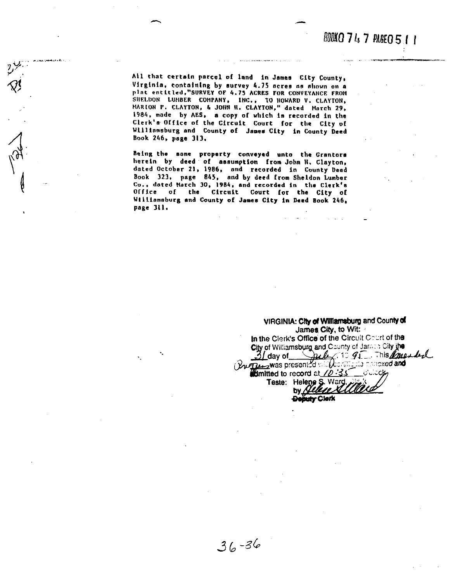All that certain parcel of land in James City County, Virginia, containing by survey 4.75 acres as shown on a plat entitled, "SURVEY OF 4.75 ACRES FOR CONVEYANCE FROM SHELDON LUHBER COMPANY, INC., TO HOWARD V. CLAYTON, MARION P. CLAYTON, & JOHN H. CLAYTON," dated March 29, 1984, made by AES, a copy of which is recorded in the Clerk's Office of the Circuit Court for the City of Williamsburg and County of James City in County Deed Book 246, page 313.

Being the same property conveyed unto the Grantors herein by deed of assumption from John H. Clayton, dated October 21, 1986, and recorded in County Deed Book 323, page 845, and by deed from Sheldon Lumber Co., dated March 30, 1984, and recorded in the Clerk's Office of the Circuit Court for the City of Williamsburg and County of James City in Daed Book 246, page 311.

VIRGINIA: City of Williamsburg and County of James City, to Wit: In the Clerk's Office of the Circuit Court of the City of Williamsburg and County of James City jhe 31 day of Dub 10 95 mis marked dimitted to record at  $70.35$ ು∴ುಂಟ್ರ Teste: Helene S. Ward.<br>by Allene XI Deputy Clerk

 $36 - 36$